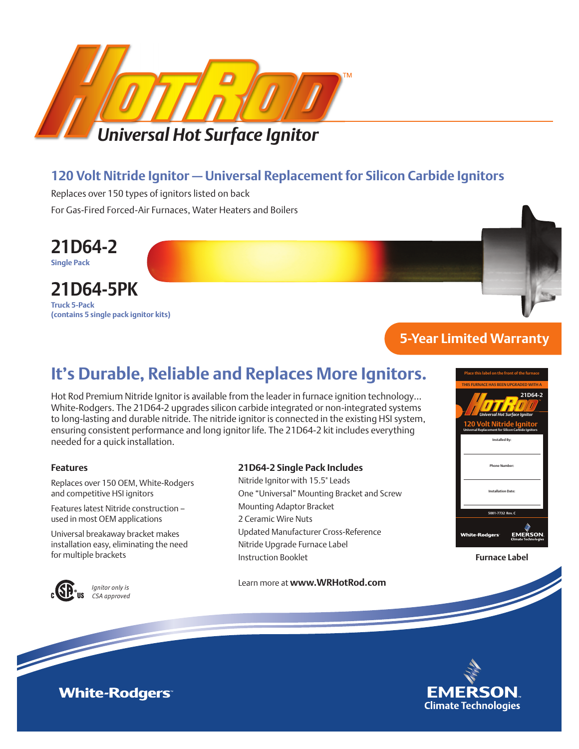

## **120 Volt Nitride Ignitor — Universal Replacement for Silicon Carbide Ignitors**

Replaces over 150 types of ignitors listed on back For Gas-Fired Forced-Air Furnaces, Water Heaters and Boilers



## **21D64-5PK**

**Truck 5-Pack (contains 5 single pack ignitor kits)**

## **5-Year Limited Warranty**

## **It's Durable, Reliable and Replaces More Ignitors.**

Hot Rod Premium Nitride Ignitor is available from the leader in furnace ignition technology… White-Rodgers. The 21D64-2 upgrades silicon carbide integrated or non-integrated systems to long-lasting and durable nitride. The nitride ignitor is connected in the existing HSI system, ensuring consistent performance and long ignitor life. The 21D64-2 kit includes everything needed for a quick installation.

#### **Features**

Replaces over 150 OEM, White-Rodgers and competitive HSI ignitors

Features latest Nitride construction – used in most OEM applications

Universal breakaway bracket makes installation easy, eliminating the need



*Ignitor only is CSA approved*

#### **21D64-2 Single Pack Includes**

Nitride Ignitor with 15.5" Leads One "Universal" Mounting Bracket and Screw Mounting Adaptor Bracket 2 Ceramic Wire Nuts Updated Manufacturer Cross-Reference Nitride Upgrade Furnace Label Instruction Booklet for multiple brackets **Furnace Label**

Learn more at **www.WRHotRod.com**





**White-Rodgers**